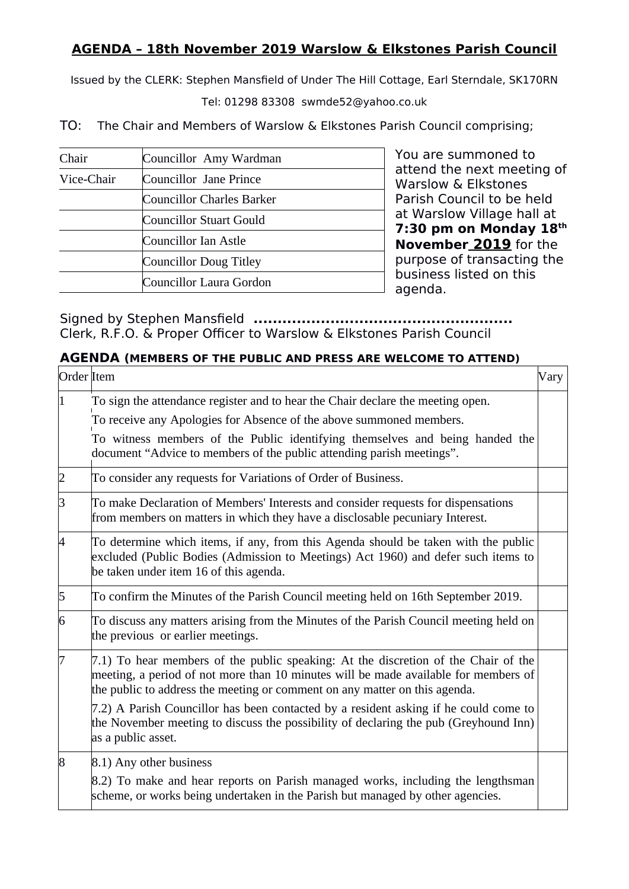## **AGENDA – 18th November 2019 Warslow & Elkstones Parish Council**

Issued by the CLERK: Stephen Mansfield of Under The Hill Cottage, Earl Sterndale, SK170RN

Tel: 01298 83308 swmde52@yahoo.co.uk

TO: The Chair and Members of Warslow & Elkstones Parish Council comprising;

| Chair      | Councillor Amy Wardman    |
|------------|---------------------------|
| Vice-Chair | Councillor Jane Prince    |
|            | Councillor Charles Barker |
|            | Councillor Stuart Gould   |
|            | Councillor Ian Astle      |
|            | Councillor Doug Titley    |
|            | Councillor Laura Gordon   |

You are summoned to attend the next meeting of Warslow & Elkstones Parish Council to be held at Warslow Village hall at **7:30 pm on Monday 18th November 2019** for the purpose of transacting the business listed on this agenda.

Signed by Stephen Mansfield **......................................................** Clerk, R.F.O. & Proper Officer to Warslow & Elkstones Parish Council

## **AGENDA (MEMBERS OF THE PUBLIC AND PRESS ARE WELCOME TO ATTEND)**

| Order Item     |                                                                                                                                                                                                                                                         | Vary |
|----------------|---------------------------------------------------------------------------------------------------------------------------------------------------------------------------------------------------------------------------------------------------------|------|
|                | To sign the attendance register and to hear the Chair declare the meeting open.                                                                                                                                                                         |      |
|                | To receive any Apologies for Absence of the above summoned members.                                                                                                                                                                                     |      |
|                | To witness members of the Public identifying themselves and being handed the<br>document "Advice to members of the public attending parish meetings".                                                                                                   |      |
| 2              | To consider any requests for Variations of Order of Business.                                                                                                                                                                                           |      |
| З              | To make Declaration of Members' Interests and consider requests for dispensations<br>from members on matters in which they have a disclosable pecuniary Interest.                                                                                       |      |
| 4              | To determine which items, if any, from this Agenda should be taken with the public<br>excluded (Public Bodies (Admission to Meetings) Act 1960) and defer such items to<br>be taken under item 16 of this agenda.                                       |      |
| 5              | To confirm the Minutes of the Parish Council meeting held on 16th September 2019.                                                                                                                                                                       |      |
| 6              | To discuss any matters arising from the Minutes of the Parish Council meeting held on<br>the previous or earlier meetings.                                                                                                                              |      |
| 17             | 7.1) To hear members of the public speaking: At the discretion of the Chair of the<br>meeting, a period of not more than 10 minutes will be made available for members of<br>the public to address the meeting or comment on any matter on this agenda. |      |
|                | 7.2) A Parish Councillor has been contacted by a resident asking if he could come to<br>the November meeting to discuss the possibility of declaring the pub (Greyhound Inn)<br>as a public asset.                                                      |      |
| $\overline{8}$ | 8.1) Any other business                                                                                                                                                                                                                                 |      |
|                | 8.2) To make and hear reports on Parish managed works, including the lengthsman<br>scheme, or works being undertaken in the Parish but managed by other agencies.                                                                                       |      |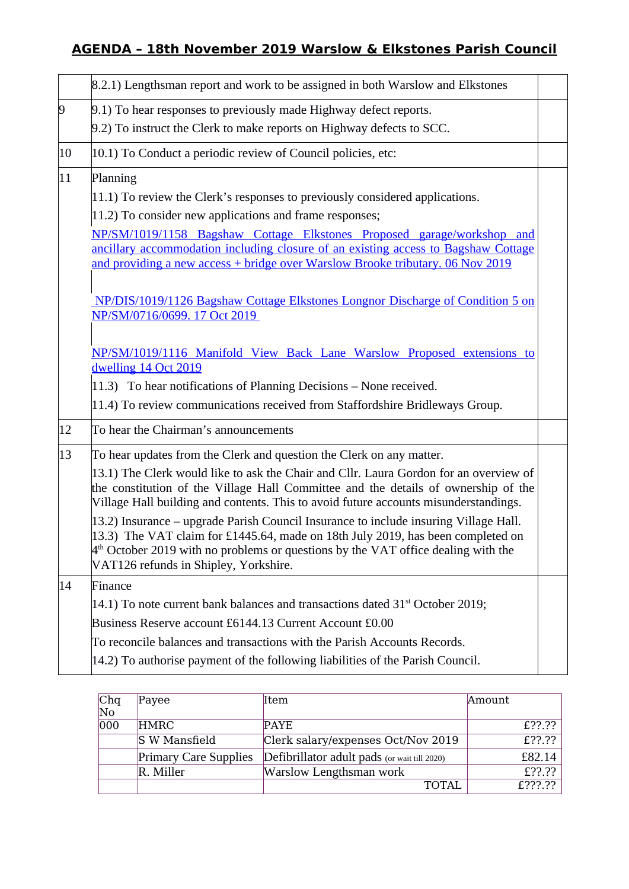## **AGENDA – 18th November 2019 Warslow & Elkstones Parish Council**

|              | 8.2.1) Lengthsman report and work to be assigned in both Warslow and Elkstones                                                                                                                                                                                                                          |  |
|--------------|---------------------------------------------------------------------------------------------------------------------------------------------------------------------------------------------------------------------------------------------------------------------------------------------------------|--|
| $\vert 9$    | 9.1) To hear responses to previously made Highway defect reports.                                                                                                                                                                                                                                       |  |
|              | 9.2) To instruct the Clerk to make reports on Highway defects to SCC.                                                                                                                                                                                                                                   |  |
| $ 10\rangle$ | $ 10.1\rangle$ To Conduct a periodic review of Council policies, etc:                                                                                                                                                                                                                                   |  |
| 11           | Planning                                                                                                                                                                                                                                                                                                |  |
|              | $ 11.1\rangle$ To review the Clerk's responses to previously considered applications.                                                                                                                                                                                                                   |  |
|              | 11.2) To consider new applications and frame responses;                                                                                                                                                                                                                                                 |  |
|              | NP/SM/1019/1158 Bagshaw Cottage Elkstones Proposed garage/workshop and<br>ancillary accommodation including closure of an existing access to Bagshaw Cottage<br>and providing a new access + bridge over Warslow Brooke tributary. 06 Nov 2019                                                          |  |
|              | NP/DIS/1019/1126 Bagshaw Cottage Elkstones Longnor Discharge of Condition 5 on<br>NP/SM/0716/0699. 17 Oct 2019                                                                                                                                                                                          |  |
|              | NP/SM/1019/1116 Manifold View Back Lane Warslow Proposed extensions to<br>dwelling 14 Oct 2019                                                                                                                                                                                                          |  |
|              | 11.3) To hear notifications of Planning Decisions - None received.                                                                                                                                                                                                                                      |  |
|              | 11.4) To review communications received from Staffordshire Bridleways Group.                                                                                                                                                                                                                            |  |
| 12           | To hear the Chairman's announcements                                                                                                                                                                                                                                                                    |  |
| 13           | To hear updates from the Clerk and question the Clerk on any matter.                                                                                                                                                                                                                                    |  |
|              | 13.1) The Clerk would like to ask the Chair and Cllr. Laura Gordon for an overview of<br>the constitution of the Village Hall Committee and the details of ownership of the<br>Village Hall building and contents. This to avoid future accounts misunderstandings.                                     |  |
|              | 13.2) Insurance – upgrade Parish Council Insurance to include insuring Village Hall.<br>13.3) The VAT claim for £1445.64, made on 18th July 2019, has been completed on<br>$4th$ October 2019 with no problems or questions by the VAT office dealing with the<br>VAT126 refunds in Shipley, Yorkshire. |  |
| $ 14\rangle$ | Finance                                                                                                                                                                                                                                                                                                 |  |
|              | 14.1) To note current bank balances and transactions dated $31st$ October 2019;                                                                                                                                                                                                                         |  |
|              | Business Reserve account £6144.13 Current Account £0.00                                                                                                                                                                                                                                                 |  |
|              | To reconcile balances and transactions with the Parish Accounts Records.                                                                                                                                                                                                                                |  |
|              | 14.2) To authorise payment of the following liabilities of the Parish Council.                                                                                                                                                                                                                          |  |
|              |                                                                                                                                                                                                                                                                                                         |  |

| Chq<br>No | Payee                        | Item                                         | Amount  |
|-----------|------------------------------|----------------------------------------------|---------|
| 000       | <b>HMRC</b>                  | PAYE.                                        | £??.??  |
|           | S W Mansfield                | Clerk salary/expenses Oct/Nov 2019           | £??.??  |
|           | <b>Primary Care Supplies</b> | Defibrillator adult pads (or wait till 2020) | £82.14  |
|           | R. Miller                    | Warslow Lengthsman work                      | £??.??  |
|           |                              | <b>TOTAL</b>                                 | £???.?? |